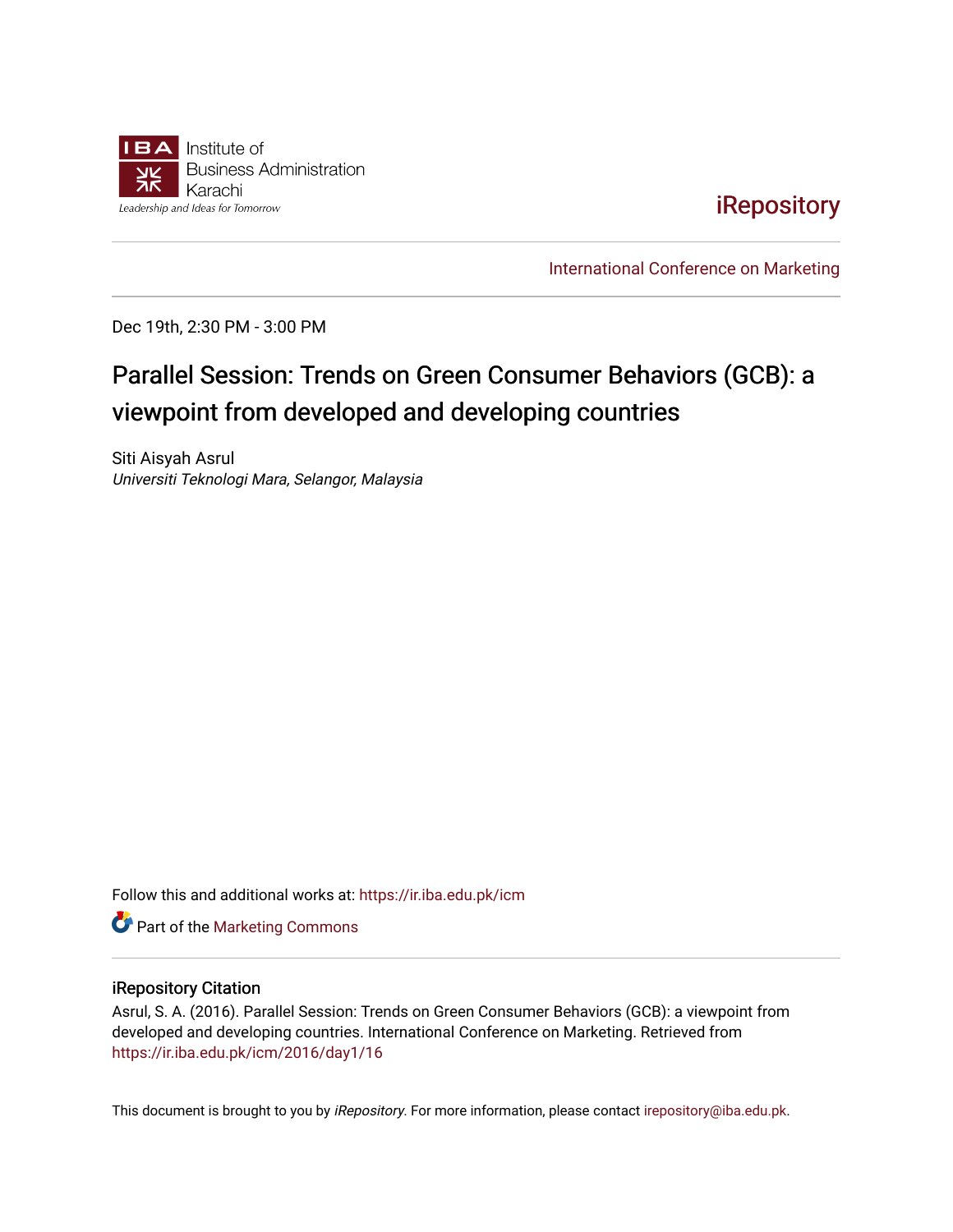

## [iRepository](https://ir.iba.edu.pk/)

[International Conference on Marketing](https://ir.iba.edu.pk/icm) 

Dec 19th, 2:30 PM - 3:00 PM

# Parallel Session: Trends on Green Consumer Behaviors (GCB): a viewpoint from developed and developing countries

Siti Aisyah Asrul Universiti Teknologi Mara, Selangor, Malaysia

Follow this and additional works at: [https://ir.iba.edu.pk/icm](https://ir.iba.edu.pk/icm?utm_source=ir.iba.edu.pk%2Ficm%2F2016%2Fday1%2F16&utm_medium=PDF&utm_campaign=PDFCoverPages) 

**Part of the [Marketing Commons](http://network.bepress.com/hgg/discipline/638?utm_source=ir.iba.edu.pk%2Ficm%2F2016%2Fday1%2F16&utm_medium=PDF&utm_campaign=PDFCoverPages)** 

#### iRepository Citation

Asrul, S. A. (2016). Parallel Session: Trends on Green Consumer Behaviors (GCB): a viewpoint from developed and developing countries. International Conference on Marketing. Retrieved from [https://ir.iba.edu.pk/icm/2016/day1/16](https://ir.iba.edu.pk/icm/2016/day1/16?utm_source=ir.iba.edu.pk%2Ficm%2F2016%2Fday1%2F16&utm_medium=PDF&utm_campaign=PDFCoverPages)

This document is brought to you by iRepository. For more information, please contact [irepository@iba.edu.pk](mailto:irepository@iba.edu.pk).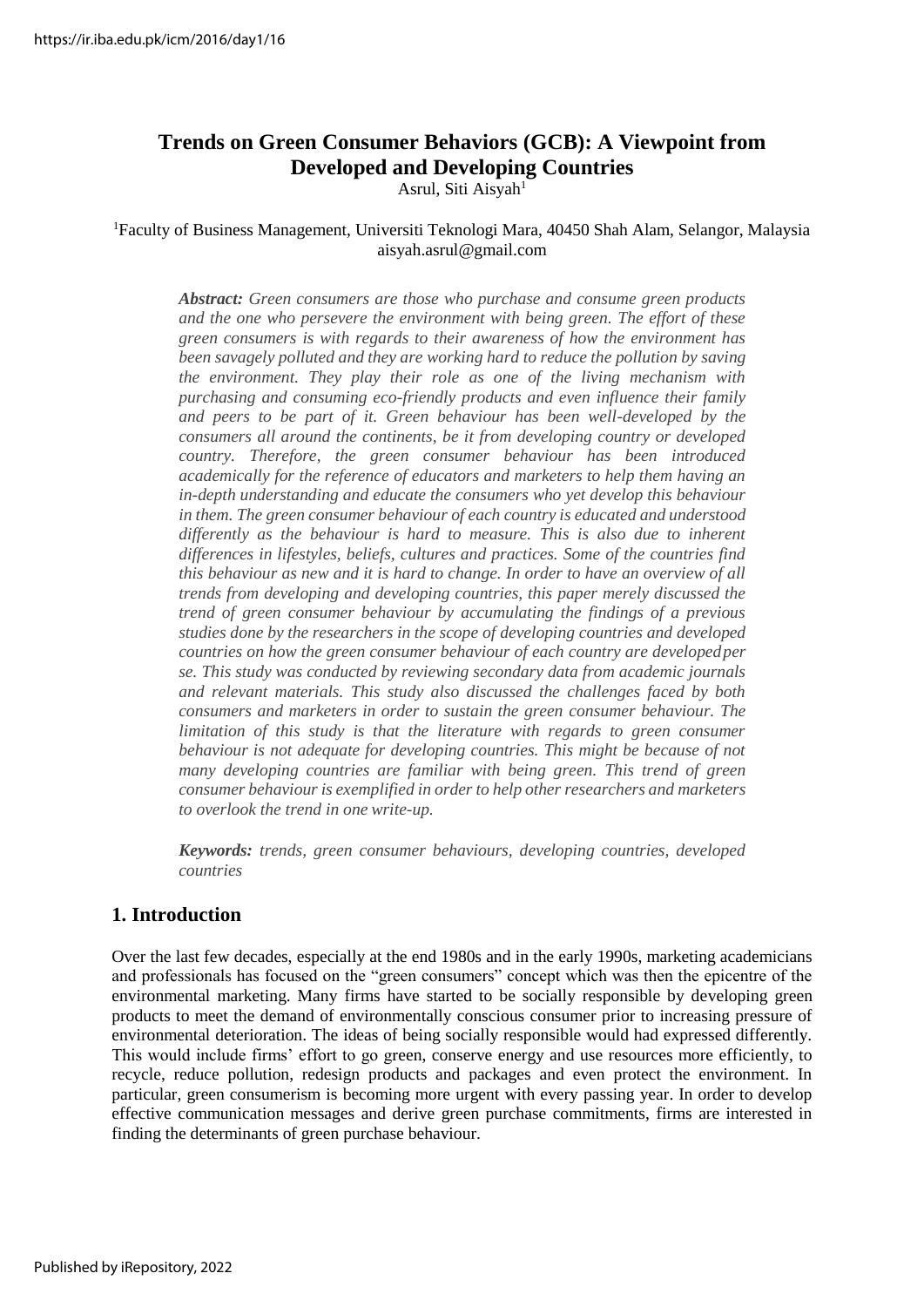## **Trends on Green Consumer Behaviors (GCB): A Viewpoint from Developed and Developing Countries**

Asrul, Siti Aisyah<sup>1</sup>

#### <sup>1</sup>Faculty of Business Management, Universiti Teknologi Mara, 40450 Shah Alam, Selangor, Malaysia [aisyah.asrul@gmail.com](mailto:aisyah.asrul@gmail.com)

*Abstract: Green consumers are those who purchase and consume green products and the one who persevere the environment with being green. The effort of these green consumers is with regards to their awareness of how the environment has been savagely polluted and they are working hard to reduce the pollution by saving the environment. They play their role as one of the living mechanism with purchasing and consuming eco-friendly products and even influence their family and peers to be part of it. Green behaviour has been well-developed by the consumers all around the continents, be it from developing country or developed country. Therefore, the green consumer behaviour has been introduced academically for the reference of educators and marketers to help them having an in-depth understanding and educate the consumers who yet develop this behaviour in them. The green consumer behaviour of each country is educated and understood differently as the behaviour is hard to measure. This is also due to inherent differences in lifestyles, beliefs, cultures and practices. Some of the countries find this behaviour as new and it is hard to change. In order to have an overview of all trends from developing and developing countries, this paper merely discussed the trend of green consumer behaviour by accumulating the findings of a previous studies done by the researchers in the scope of developing countries and developed countries on how the green consumer behaviour of each country are developedper se. This study was conducted by reviewing secondary data from academic journals and relevant materials. This study also discussed the challenges faced by both consumers and marketers in order to sustain the green consumer behaviour. The limitation of this study is that the literature with regards to green consumer* behaviour is not adequate for developing countries. This might be because of not *many developing countries are familiar with being green. This trend of green consumer behaviour is exemplified in order to help other researchers and marketers to overlook the trend in one write-up.*

*Keywords: trends, green consumer behaviours, developing countries, developed countries*

## **1. Introduction**

Over the last few decades, especially at the end 1980s and in the early 1990s, marketing academicians and professionals has focused on the "green consumers" concept which was then the epicentre of the environmental marketing. Many firms have started to be socially responsible by developing green products to meet the demand of environmentally conscious consumer prior to increasing pressure of environmental deterioration. The ideas of being socially responsible would had expressed differently. This would include firms' effort to go green, conserve energy and use resources more efficiently, to recycle, reduce pollution, redesign products and packages and even protect the environment. In particular, green consumerism is becoming more urgent with every passing year. In order to develop effective communication messages and derive green purchase commitments, firms are interested in finding the determinants of green purchase behaviour.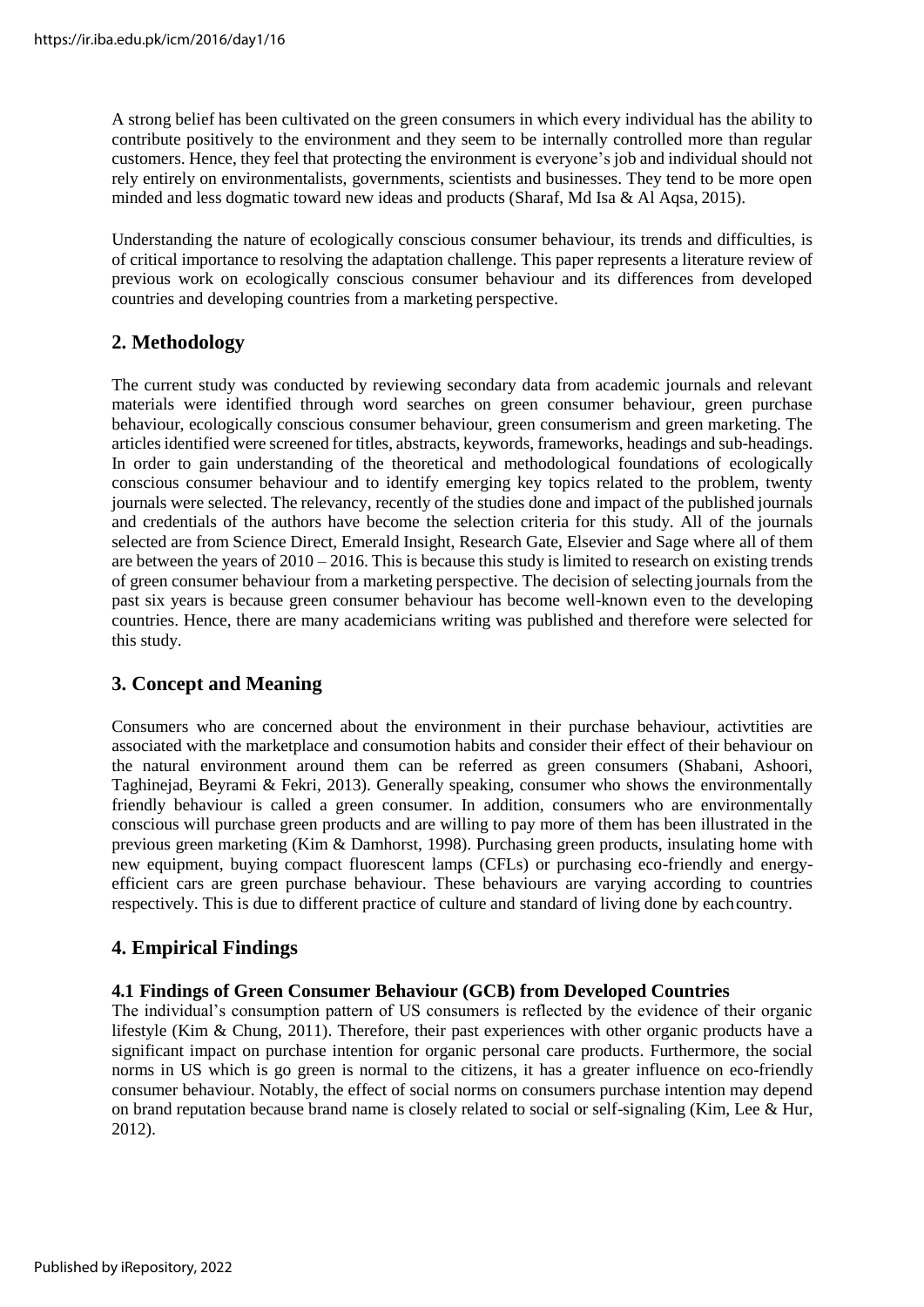A strong belief has been cultivated on the green consumers in which every individual has the ability to contribute positively to the environment and they seem to be internally controlled more than regular customers. Hence, they feel that protecting the environment is everyone's job and individual should not rely entirely on environmentalists, governments, scientists and businesses. They tend to be more open minded and less dogmatic toward new ideas and products (Sharaf, Md Isa & Al Aqsa, 2015).

Understanding the nature of ecologically conscious consumer behaviour, its trends and difficulties, is of critical importance to resolving the adaptation challenge. This paper represents a literature review of previous work on ecologically conscious consumer behaviour and its differences from developed countries and developing countries from a marketing perspective.

## **2. Methodology**

The current study was conducted by reviewing secondary data from academic journals and relevant materials were identified through word searches on green consumer behaviour, green purchase behaviour, ecologically conscious consumer behaviour, green consumerism and green marketing. The articlesidentified were screened for titles, abstracts, keywords, frameworks, headings and sub-headings. In order to gain understanding of the theoretical and methodological foundations of ecologically conscious consumer behaviour and to identify emerging key topics related to the problem, twenty journals were selected. The relevancy, recently of the studies done and impact of the published journals and credentials of the authors have become the selection criteria for this study. All of the journals selected are from Science Direct, Emerald Insight, Research Gate, Elsevier and Sage where all of them are between the years of  $2010 - 2016$ . This is because this study is limited to research on existing trends of green consumer behaviour from a marketing perspective. The decision of selecting journals from the past six years is because green consumer behaviour has become well-known even to the developing countries. Hence, there are many academicians writing was published and therefore were selected for this study.

## **3. Concept and Meaning**

Consumers who are concerned about the environment in their purchase behaviour, activtities are associated with the marketplace and consumotion habits and consider their effect of their behaviour on the natural environment around them can be referred as green consumers (Shabani, Ashoori, Taghinejad, Beyrami & Fekri, 2013). Generally speaking, consumer who shows the environmentally friendly behaviour is called a green consumer. In addition, consumers who are environmentally conscious will purchase green products and are willing to pay more of them has been illustrated in the previous green marketing (Kim & Damhorst, 1998). Purchasing green products, insulating home with new equipment, buying compact fluorescent lamps (CFLs) or purchasing eco-friendly and energyefficient cars are green purchase behaviour. These behaviours are varying according to countries respectively. This is due to different practice of culture and standard of living done by eachcountry.

## **4. Empirical Findings**

#### **4.1 Findings of Green Consumer Behaviour (GCB) from Developed Countries**

The individual's consumption pattern of US consumers is reflected by the evidence of their organic lifestyle (Kim & Chung, 2011). Therefore, their past experiences with other organic products have a significant impact on purchase intention for organic personal care products. Furthermore, the social norms in US which is go green is normal to the citizens, it has a greater influence on eco-friendly consumer behaviour. Notably, the effect of social norms on consumers purchase intention may depend on brand reputation because brand name is closely related to social or self-signaling (Kim, Lee & Hur, 2012).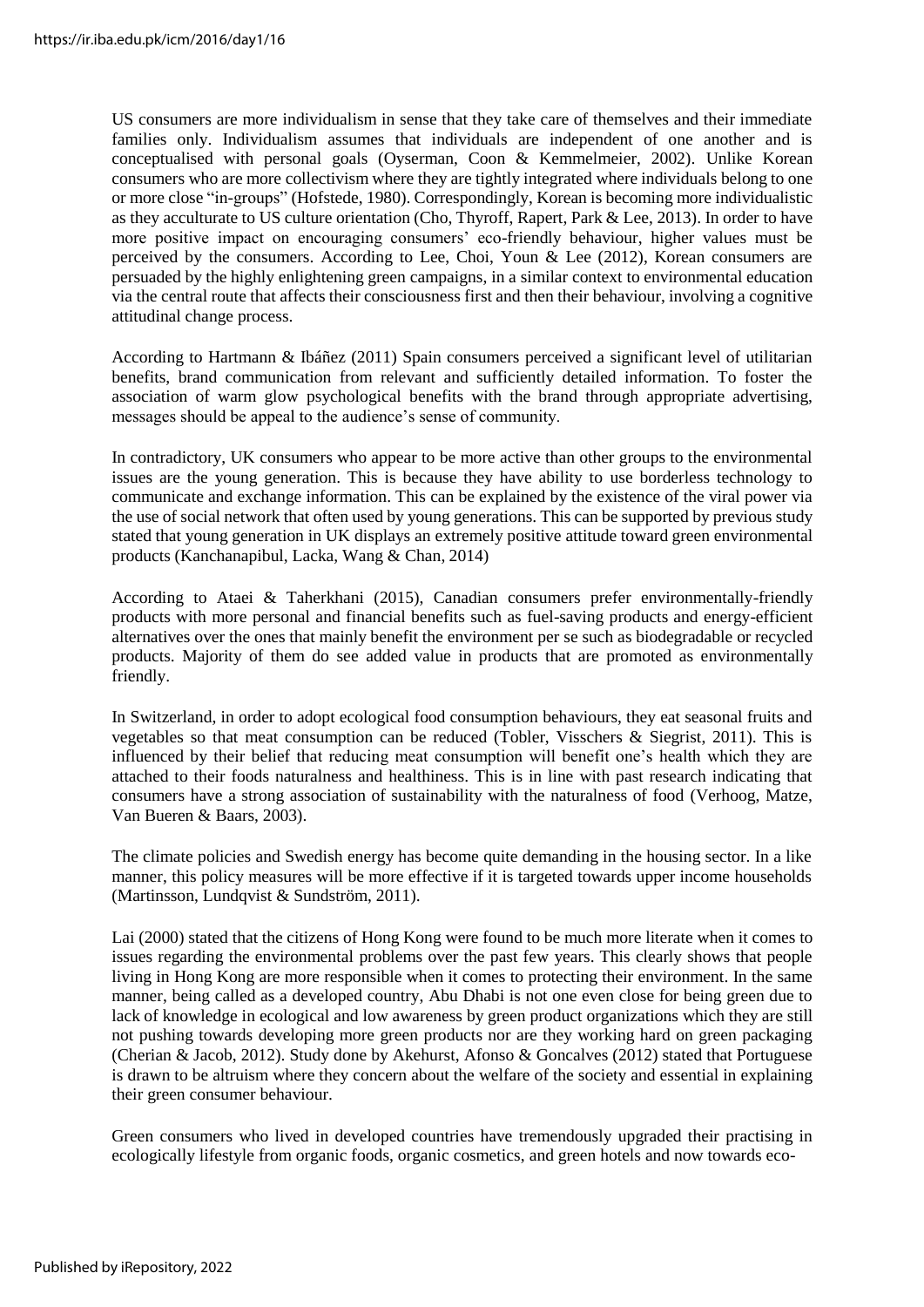US consumers are more individualism in sense that they take care of themselves and their immediate families only. Individualism assumes that individuals are independent of one another and is conceptualised with personal goals (Oyserman, Coon & Kemmelmeier, 2002). Unlike Korean consumers who are more collectivism where they are tightly integrated where individuals belong to one or more close "in-groups" (Hofstede, 1980). Correspondingly, Korean is becoming more individualistic as they acculturate to US culture orientation (Cho, Thyroff, Rapert, Park & Lee, 2013). In order to have more positive impact on encouraging consumers' eco-friendly behaviour, higher values must be perceived by the consumers. According to Lee, Choi, Youn & Lee (2012), Korean consumers are persuaded by the highly enlightening green campaigns, in a similar context to environmental education via the central route that affects their consciousness first and then their behaviour, involving a cognitive attitudinal change process.

According to Hartmann & Ibáñez (2011) Spain consumers perceived a significant level of utilitarian benefits, brand communication from relevant and sufficiently detailed information. To foster the association of warm glow psychological benefits with the brand through appropriate advertising, messages should be appeal to the audience's sense of community.

In contradictory, UK consumers who appear to be more active than other groups to the environmental issues are the young generation. This is because they have ability to use borderless technology to communicate and exchange information. This can be explained by the existence of the viral power via the use of social network that often used by young generations. This can be supported by previous study stated that young generation in UK displays an extremely positive attitude toward green environmental products (Kanchanapibul, Lacka, Wang & Chan, 2014)

According to Ataei & Taherkhani (2015), Canadian consumers prefer environmentally-friendly products with more personal and financial benefits such as fuel-saving products and energy-efficient alternatives over the ones that mainly benefit the environment per se such as biodegradable or recycled products. Majority of them do see added value in products that are promoted as environmentally friendly.

In Switzerland, in order to adopt ecological food consumption behaviours, they eat seasonal fruits and vegetables so that meat consumption can be reduced (Tobler, Visschers & Siegrist, 2011). This is influenced by their belief that reducing meat consumption will benefit one's health which they are attached to their foods naturalness and healthiness. This is in line with past research indicating that consumers have a strong association of sustainability with the naturalness of food (Verhoog, Matze, Van Bueren & Baars, 2003).

The climate policies and Swedish energy has become quite demanding in the housing sector. In a like manner, this policy measures will be more effective if it is targeted towards upper income households (Martinsson, Lundqvist & Sundström, 2011).

Lai (2000) stated that the citizens of Hong Kong were found to be much more literate when it comes to issues regarding the environmental problems over the past few years. This clearly shows that people living in Hong Kong are more responsible when it comes to protecting their environment. In the same manner, being called as a developed country, Abu Dhabi is not one even close for being green due to lack of knowledge in ecological and low awareness by green product organizations which they are still not pushing towards developing more green products nor are they working hard on green packaging (Cherian & Jacob, 2012). Study done by Akehurst, Afonso & Goncalves (2012) stated that Portuguese is drawn to be altruism where they concern about the welfare of the society and essential in explaining their green consumer behaviour.

Green consumers who lived in developed countries have tremendously upgraded their practising in ecologically lifestyle from organic foods, organic cosmetics, and green hotels and now towards eco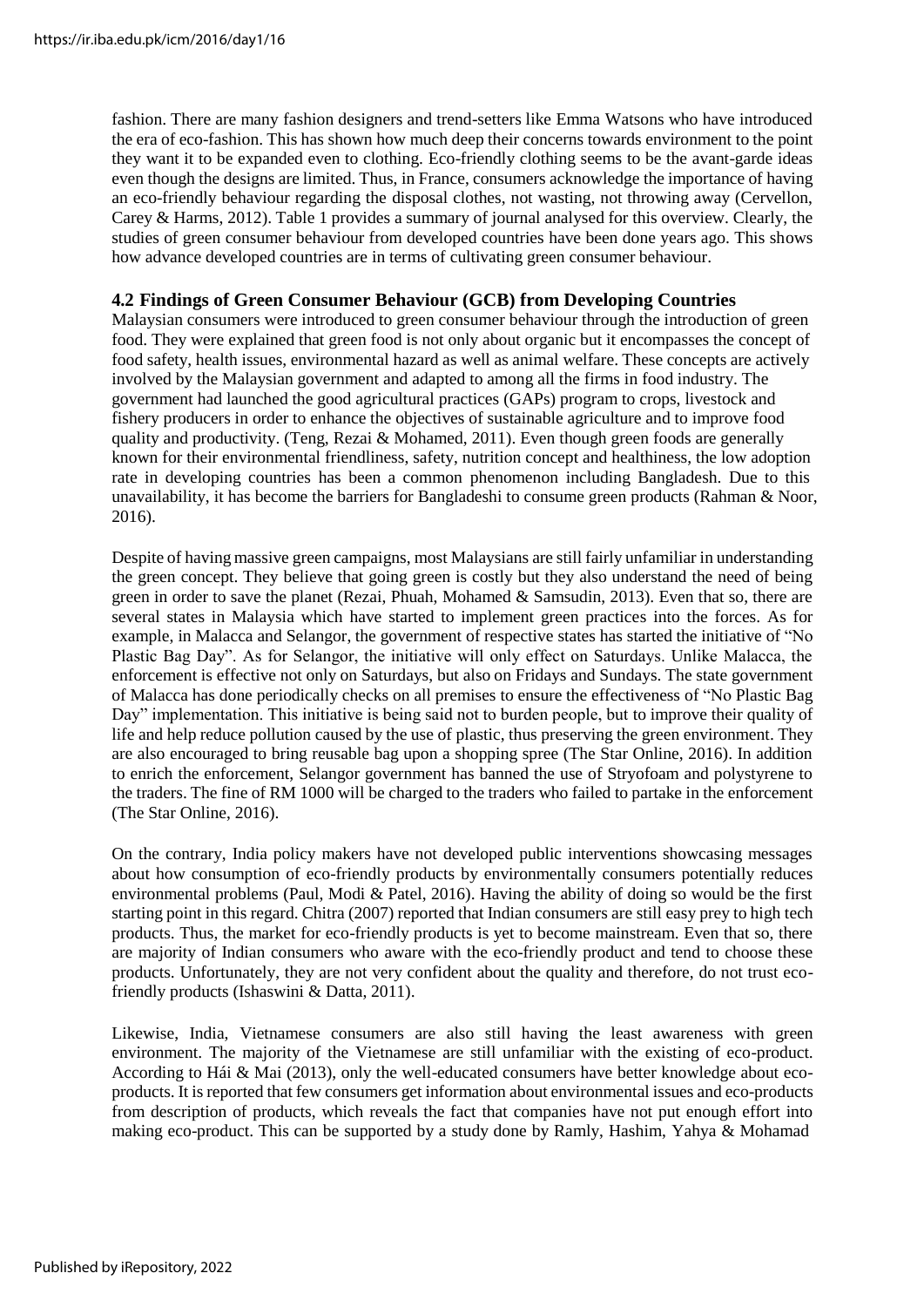fashion. There are many fashion designers and trend-setters like Emma Watsons who have introduced the era of eco-fashion. This has shown how much deep their concerns towards environment to the point they want it to be expanded even to clothing. Eco-friendly clothing seems to be the avant-garde ideas even though the designs are limited. Thus, in France, consumers acknowledge the importance of having an eco-friendly behaviour regarding the disposal clothes, not wasting, not throwing away (Cervellon, Carey & Harms, 2012). Table 1 provides a summary of journal analysed for this overview. Clearly, the studies of green consumer behaviour from developed countries have been done years ago. This shows how advance developed countries are in terms of cultivating green consumer behaviour.

#### **4.2 Findings of Green Consumer Behaviour (GCB) from Developing Countries**

Malaysian consumers were introduced to green consumer behaviour through the introduction of green food. They were explained that green food is not only about organic but it encompasses the concept of food safety, health issues, environmental hazard as well as animal welfare. These concepts are actively involved by the Malaysian government and adapted to among all the firms in food industry. The government had launched the good agricultural practices (GAPs) program to crops, livestock and fishery producers in order to enhance the objectives of sustainable agriculture and to improve food quality and productivity. (Teng, Rezai & Mohamed, 2011). Even though green foods are generally known for their environmental friendliness, safety, nutrition concept and healthiness, the low adoption rate in developing countries has been a common phenomenon including Bangladesh. Due to this unavailability, it has become the barriers for Bangladeshi to consume green products (Rahman & Noor, 2016).

Despite of having massive green campaigns, most Malaysians are still fairly unfamiliar in understanding the green concept. They believe that going green is costly but they also understand the need of being green in order to save the planet (Rezai, Phuah, Mohamed  $\&$  Samsudin, 2013). Even that so, there are several states in Malaysia which have started to implement green practices into the forces. As for example, in Malacca and Selangor, the government of respective states has started the initiative of "No Plastic Bag Day". As for Selangor, the initiative will only effect on Saturdays. Unlike Malacca, the enforcement is effective not only on Saturdays, but also on Fridays and Sundays. The state government of Malacca has done periodically checks on all premises to ensure the effectiveness of "No Plastic Bag Day" implementation. This initiative is being said not to burden people, but to improve their quality of life and help reduce pollution caused by the use of plastic, thus preserving the green environment. They are also encouraged to bring reusable bag upon a shopping spree (The Star Online, 2016). In addition to enrich the enforcement, Selangor government has banned the use of Stryofoam and polystyrene to the traders. The fine of RM 1000 will be charged to the traders who failed to partake in the enforcement (The Star Online, 2016).

On the contrary, India policy makers have not developed public interventions showcasing messages about how consumption of eco-friendly products by environmentally consumers potentially reduces environmental problems (Paul, Modi & Patel, 2016). Having the ability of doing so would be the first starting point in this regard. Chitra (2007) reported that Indian consumers are still easy prey to high tech products. Thus, the market for eco-friendly products is yet to become mainstream. Even that so, there are majority of Indian consumers who aware with the eco-friendly product and tend to choose these products. Unfortunately, they are not very confident about the quality and therefore, do not trust ecofriendly products (Ishaswini & Datta, 2011).

Likewise, India, Vietnamese consumers are also still having the least awareness with green environment. The majority of the Vietnamese are still unfamiliar with the existing of eco-product. According to Hái & Mai (2013), only the well-educated consumers have better knowledge about ecoproducts. It isreported that few consumers get information about environmental issues and eco-products from description of products, which reveals the fact that companies have not put enough effort into making eco-product. This can be supported by a study done by Ramly, Hashim, Yahya & Mohamad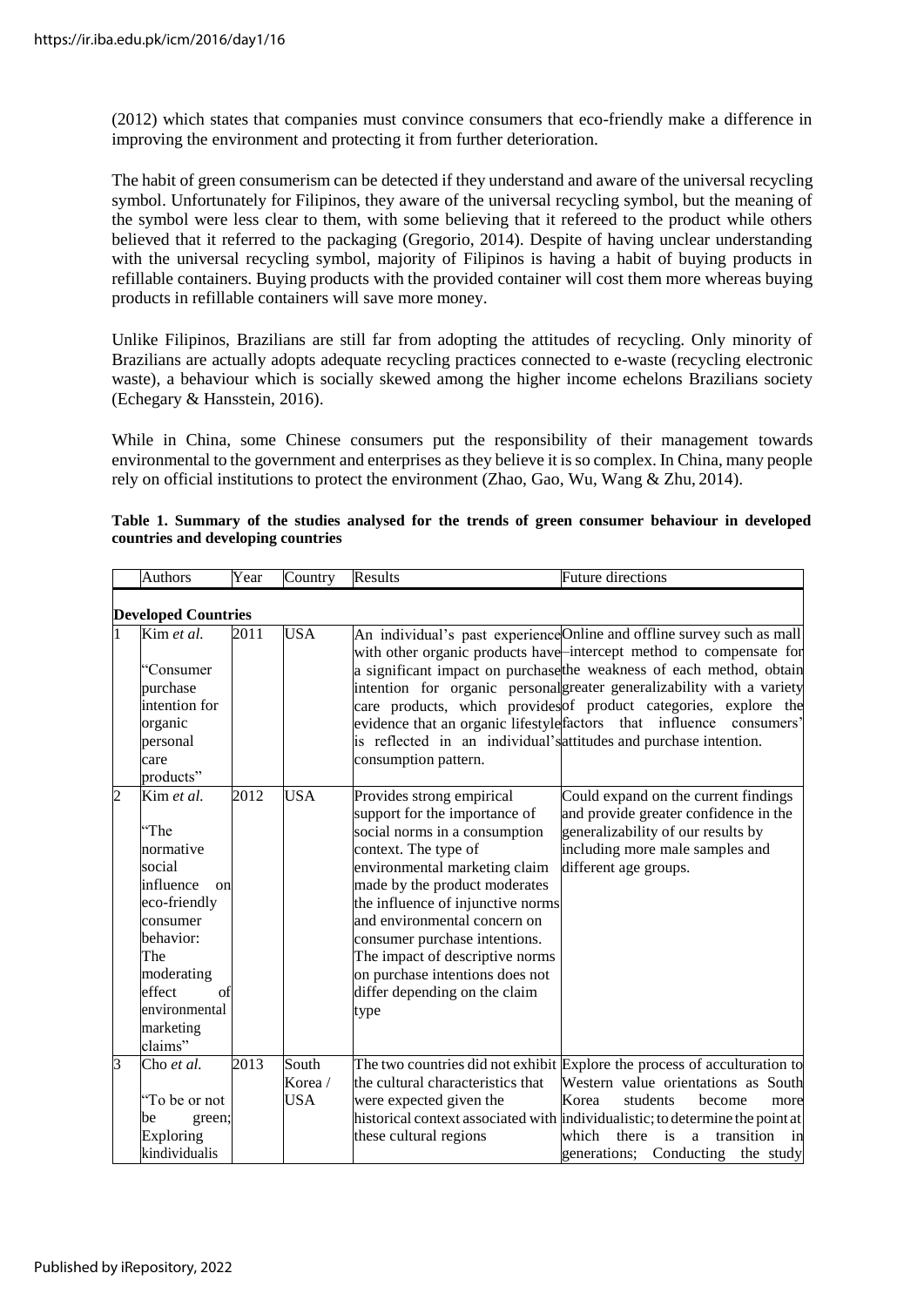(2012) which states that companies must convince consumers that eco-friendly make a difference in improving the environment and protecting it from further deterioration.

The habit of green consumerism can be detected if they understand and aware of the universal recycling symbol. Unfortunately for Filipinos, they aware of the universal recycling symbol, but the meaning of the symbol were less clear to them, with some believing that it refereed to the product while others believed that it referred to the packaging (Gregorio, 2014). Despite of having unclear understanding with the universal recycling symbol, majority of Filipinos is having a habit of buying products in refillable containers. Buying products with the provided container will cost them more whereas buying products in refillable containers will save more money.

Unlike Filipinos, Brazilians are still far from adopting the attitudes of recycling. Only minority of Brazilians are actually adopts adequate recycling practices connected to e-waste (recycling electronic waste), a behaviour which is socially skewed among the higher income echelons Brazilians society (Echegary & Hansstein, 2016).

While in China, some Chinese consumers put the responsibility of their management towards environmental to the government and enterprises as they believe it isso complex. In China, many people rely on official institutions to protect the environment (Zhao, Gao, Wu, Wang & Zhu, 2014).

|                | <b>Authors</b>                                                                                                                                                                      | Year | Country                 | Results                                                                                                                                                                                                                                                                                                                                                                                                    | <b>Future directions</b>                                                                                                                                                                                                                                                                                                                                                                                                                   |  |  |  |  |
|----------------|-------------------------------------------------------------------------------------------------------------------------------------------------------------------------------------|------|-------------------------|------------------------------------------------------------------------------------------------------------------------------------------------------------------------------------------------------------------------------------------------------------------------------------------------------------------------------------------------------------------------------------------------------------|--------------------------------------------------------------------------------------------------------------------------------------------------------------------------------------------------------------------------------------------------------------------------------------------------------------------------------------------------------------------------------------------------------------------------------------------|--|--|--|--|
|                | <b>Developed Countries</b>                                                                                                                                                          |      |                         |                                                                                                                                                                                                                                                                                                                                                                                                            |                                                                                                                                                                                                                                                                                                                                                                                                                                            |  |  |  |  |
|                | Kim et al.<br>'Consumer<br>purchase<br>intention for<br>organic<br>personal<br>care<br>products"                                                                                    | 2011 | <b>USA</b>              | is reflected in an individual's attitudes and purchase intention.<br>consumption pattern.                                                                                                                                                                                                                                                                                                                  | An individual's past experience Online and offline survey such as mall<br>with other organic products have intercept method to compensate for<br>a significant impact on purchase the weakness of each method, obtain<br>intention for organic personalgreater generalizability with a variety<br>care products, which provides of product categories, explore the<br>evidence that an organic lifestyle factors that influence consumers' |  |  |  |  |
| $\overline{c}$ | Kim et al.<br>"The<br>normative<br>social<br>influence<br>on<br>eco-friendly<br>consumer<br>behavior:<br>The<br>moderating<br>effect<br>of<br>environmental<br>marketing<br>claims" | 2012 | <b>USA</b>              | Provides strong empirical<br>support for the importance of<br>social norms in a consumption<br>context. The type of<br>environmental marketing claim<br>made by the product moderates<br>the influence of injunctive norms<br>and environmental concern on<br>consumer purchase intentions.<br>The impact of descriptive norms<br>on purchase intentions does not<br>differ depending on the claim<br>type | Could expand on the current findings<br>and provide greater confidence in the<br>generalizability of our results by<br>including more male samples and<br>different age groups.                                                                                                                                                                                                                                                            |  |  |  |  |
| 3              | Cho et al.<br>"To be or not<br>be<br>green;<br>Exploring<br>kindividualis                                                                                                           | 2013 | South<br>Korea /<br>USA | the cultural characteristics that<br>were expected given the<br>these cultural regions                                                                                                                                                                                                                                                                                                                     | The two countries did not exhibit Explore the process of acculturation to<br>Western value orientations as South<br>Korea<br>students<br>become<br>more<br>historical context associated with individualistic; to determine the point at<br>transition<br>which<br>there<br>is<br>a<br>in<br>generations; Conducting the study                                                                                                             |  |  |  |  |

|  |                                    |  |  |  |  |  | Table 1. Summary of the studies analysed for the trends of green consumer behaviour in developed |
|--|------------------------------------|--|--|--|--|--|--------------------------------------------------------------------------------------------------|
|  | countries and developing countries |  |  |  |  |  |                                                                                                  |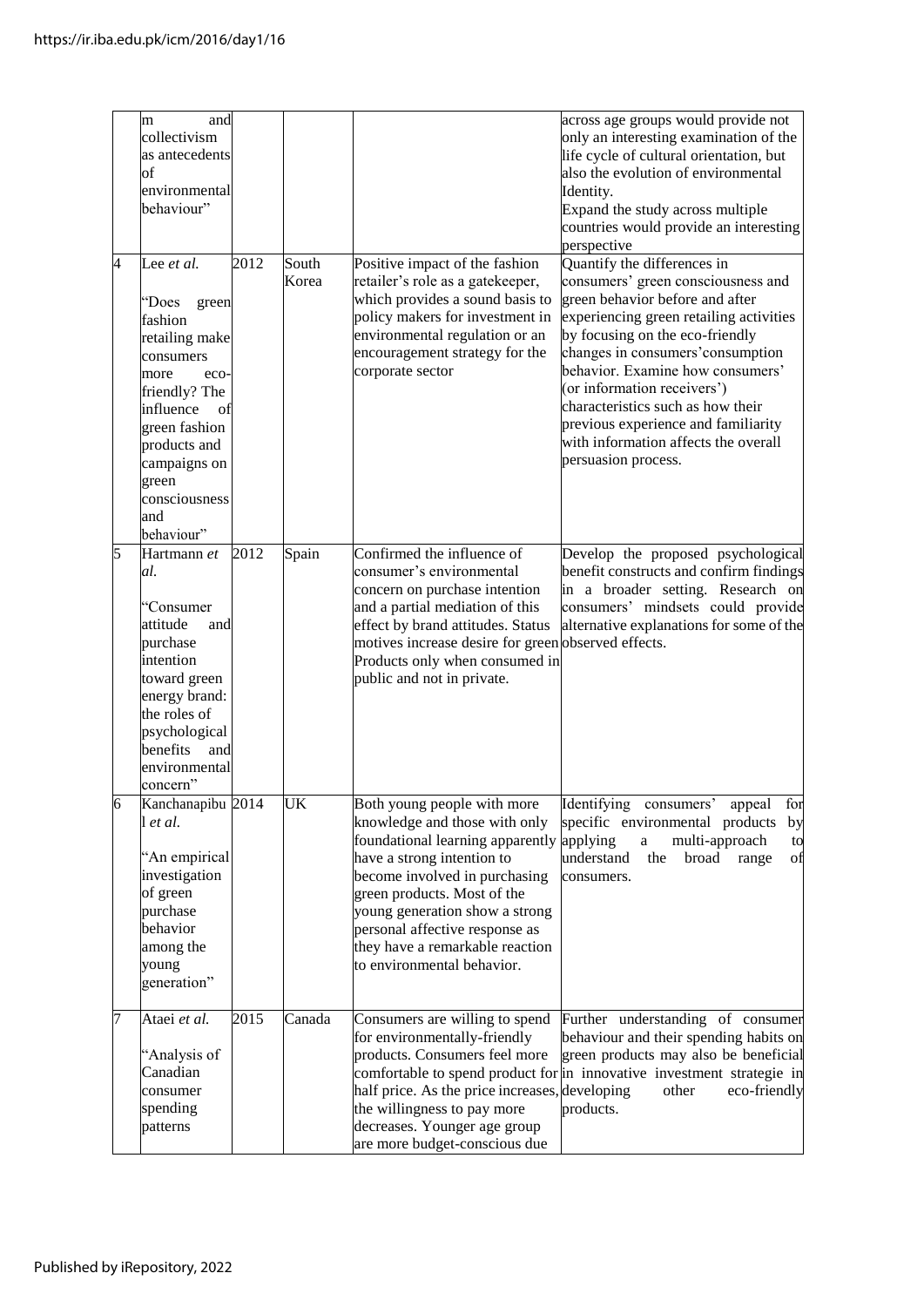|   | and<br>m<br>collectivism<br>as antecedents<br>of<br>environmental<br>behaviour"                                                                                                                                            |      |                |                                                                                                                                                                                                                                                                                                                                     | across age groups would provide not<br>only an interesting examination of the<br>life cycle of cultural orientation, but<br>also the evolution of environmental<br>Identity.<br>Expand the study across multiple<br>countries would provide an interesting<br>perspective                                                                                                                                                             |
|---|----------------------------------------------------------------------------------------------------------------------------------------------------------------------------------------------------------------------------|------|----------------|-------------------------------------------------------------------------------------------------------------------------------------------------------------------------------------------------------------------------------------------------------------------------------------------------------------------------------------|---------------------------------------------------------------------------------------------------------------------------------------------------------------------------------------------------------------------------------------------------------------------------------------------------------------------------------------------------------------------------------------------------------------------------------------|
| 4 | Lee et al.<br>"Does<br>green<br>fashion<br>retailing make<br>consumers<br>more<br>eco-<br>friendly? The<br>influence<br>οf<br>green fashion<br>products and<br>campaigns on<br>green<br>consciousness<br>and<br>behaviour" | 2012 | South<br>Korea | Positive impact of the fashion<br>retailer's role as a gatekeeper,<br>which provides a sound basis to<br>policy makers for investment in<br>environmental regulation or an<br>encouragement strategy for the<br>corporate sector                                                                                                    | Quantify the differences in<br>consumers' green consciousness and<br>green behavior before and after<br>experiencing green retailing activities<br>by focusing on the eco-friendly<br>changes in consumers' consumption<br>behavior. Examine how consumers'<br>(or information receivers')<br>characteristics such as how their<br>previous experience and familiarity<br>with information affects the overall<br>persuasion process. |
| 5 | Hartmann et<br>al.<br>"Consumer<br>attitude<br>and<br>purchase<br>intention<br>toward green<br>energy brand:<br>the roles of<br>psychological<br>benefits<br>and<br>environmental<br>concern"                              | 2012 | Spain          | Confirmed the influence of<br>consumer's environmental<br>concern on purchase intention<br>and a partial mediation of this<br>effect by brand attitudes. Status<br>motives increase desire for green observed effects.<br>Products only when consumed in<br>public and not in private.                                              | Develop the proposed psychological<br>benefit constructs and confirm findings<br>in a broader setting. Research on<br>consumers' mindsets could provide<br>alternative explanations for some of the                                                                                                                                                                                                                                   |
| 6 | Kanchanapibu 2014<br>l et al.<br>'An empirical<br>investigation<br>of green<br>purchase<br>behavior<br>among the<br>young<br>generation"                                                                                   |      | UK             | Both young people with more<br>knowledge and those with only<br>foundational learning apparently<br>have a strong intention to<br>become involved in purchasing<br>green products. Most of the<br>young generation show a strong<br>personal affective response as<br>they have a remarkable reaction<br>to environmental behavior. | Identifying consumers<br>appeal<br>tor<br>specific environmental products<br>by<br>multi-approach<br>applying<br>$\rm{a}$<br>to<br>understand<br>the<br>broad<br>range<br>οf<br>consumers.                                                                                                                                                                                                                                            |
| 7 | Ataei et al.<br>'Analysis of<br>Canadian<br>consumer<br>spending<br>patterns                                                                                                                                               | 2015 | Canada         | Consumers are willing to spend<br>for environmentally-friendly<br>products. Consumers feel more<br>half price. As the price increases, developing<br>the willingness to pay more<br>decreases. Younger age group<br>are more budget-conscious due                                                                                   | Further understanding of consumer<br>behaviour and their spending habits on<br>green products may also be beneficial<br>comfortable to spend product for in innovative investment strategie in<br>eco-friendly<br>other<br>products.                                                                                                                                                                                                  |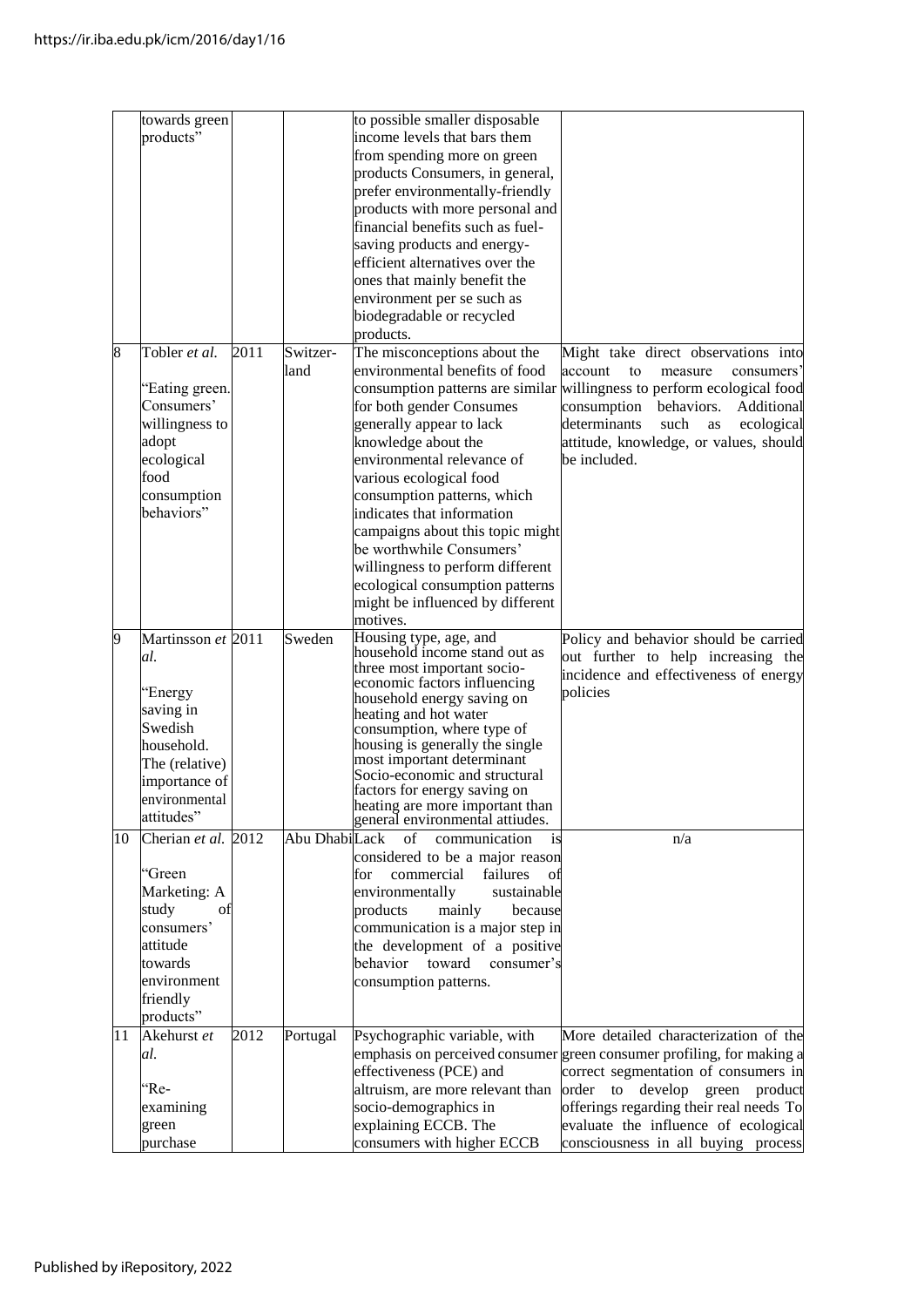|    | towards green       |      |               | to possible smaller disposable                                         |                                                                             |
|----|---------------------|------|---------------|------------------------------------------------------------------------|-----------------------------------------------------------------------------|
|    | products"           |      |               | income levels that bars them                                           |                                                                             |
|    |                     |      |               | from spending more on green                                            |                                                                             |
|    |                     |      |               | products Consumers, in general,                                        |                                                                             |
|    |                     |      |               | prefer environmentally-friendly                                        |                                                                             |
|    |                     |      |               | products with more personal and                                        |                                                                             |
|    |                     |      |               | financial benefits such as fuel-                                       |                                                                             |
|    |                     |      |               | saving products and energy-                                            |                                                                             |
|    |                     |      |               | efficient alternatives over the                                        |                                                                             |
|    |                     |      |               | ones that mainly benefit the                                           |                                                                             |
|    |                     |      |               | environment per se such as                                             |                                                                             |
|    |                     |      |               | biodegradable or recycled                                              |                                                                             |
|    |                     |      |               | products.                                                              |                                                                             |
| 8  | Tobler et al.       | 2011 | Switzer-      | The misconceptions about the                                           | Might take direct observations into                                         |
|    |                     |      | land          | environmental benefits of food                                         | account<br>to<br>measure<br>consumers <sup>3</sup>                          |
|    | "Eating green.      |      |               |                                                                        | consumption patterns are similar willingness to perform ecological food     |
|    | Consumers'          |      |               |                                                                        | behaviors.<br>Additional                                                    |
|    |                     |      |               | for both gender Consumes                                               | consumption<br>determinants<br>such                                         |
|    | willingness to      |      |               | generally appear to lack                                               | as<br>ecological                                                            |
|    | adopt               |      |               | knowledge about the<br>environmental relevance of                      | attitude, knowledge, or values, should<br>be included.                      |
|    | ecological          |      |               |                                                                        |                                                                             |
|    | food                |      |               | various ecological food                                                |                                                                             |
|    | consumption         |      |               | consumption patterns, which                                            |                                                                             |
|    | behaviors"          |      |               | indicates that information                                             |                                                                             |
|    |                     |      |               | campaigns about this topic might                                       |                                                                             |
|    |                     |      |               | be worthwhile Consumers'                                               |                                                                             |
|    |                     |      |               | willingness to perform different                                       |                                                                             |
|    |                     |      |               | ecological consumption patterns                                        |                                                                             |
|    |                     |      |               | might be influenced by different                                       |                                                                             |
|    |                     |      |               | motives.                                                               |                                                                             |
| 9  | Martinsson et 2011  |      | Sweden        | Housing type, age, and                                                 | Policy and behavior should be carried                                       |
|    | al.                 |      |               | household income stand out as<br>three most important socio-           | out further to help increasing the                                          |
|    |                     |      |               | economic factors influencing                                           | incidence and effectiveness of energy                                       |
|    | 'Energy             |      |               | household energy saving on                                             | policies                                                                    |
|    | saving in           |      |               | heating and hot water                                                  |                                                                             |
|    | Swedish             |      |               | consumption, where type of                                             |                                                                             |
|    |                     |      |               | housing is generally the single                                        |                                                                             |
|    | household.          |      |               |                                                                        |                                                                             |
|    | The (relative)      |      |               | most important determinant                                             |                                                                             |
|    | importance of       |      |               | Socio-economic and structural                                          |                                                                             |
|    | environmental       |      |               | factors for energy saving on                                           |                                                                             |
|    | attitudes"          |      |               | heating are more important than<br>general environmental attiudes.     |                                                                             |
| 10 |                     |      | Abu DhabiLack | $\sigma$ f<br>communication<br>is                                      | n/a                                                                         |
|    | Cherian et al. 2012 |      |               |                                                                        |                                                                             |
|    | 'Green              |      |               | considered to be a major reason<br>commercial<br>failures<br>for<br>οf |                                                                             |
|    |                     |      |               | sustainable                                                            |                                                                             |
|    | Marketing: A<br>οt  |      |               | environmentally<br>because                                             |                                                                             |
|    | study<br>consumers' |      |               | products<br>mainly                                                     |                                                                             |
|    | attitude            |      |               | communication is a major step in                                       |                                                                             |
|    |                     |      |               | the development of a positive                                          |                                                                             |
|    | towards             |      |               | toward<br>consumer's<br>behavior                                       |                                                                             |
|    | environment         |      |               | consumption patterns.                                                  |                                                                             |
|    | friendly            |      |               |                                                                        |                                                                             |
|    | products"           |      |               |                                                                        |                                                                             |
| 11 | Akehurst et         | 2012 | Portugal      | Psychographic variable, with                                           | More detailed characterization of the                                       |
|    | al.                 |      |               |                                                                        | emphasis on perceived consumer green consumer profiling, for making a       |
|    |                     |      |               | effectiveness (PCE) and                                                | correct segmentation of consumers in                                        |
|    | 'Re-                |      |               | altruism, are more relevant than                                       | order to<br>develop green<br>product                                        |
|    | examining           |      |               | socio-demographics in                                                  | offerings regarding their real needs To                                     |
|    | green<br>purchase   |      |               | explaining ECCB. The<br>consumers with higher ECCB                     | evaluate the influence of ecological<br>consciousness in all buying process |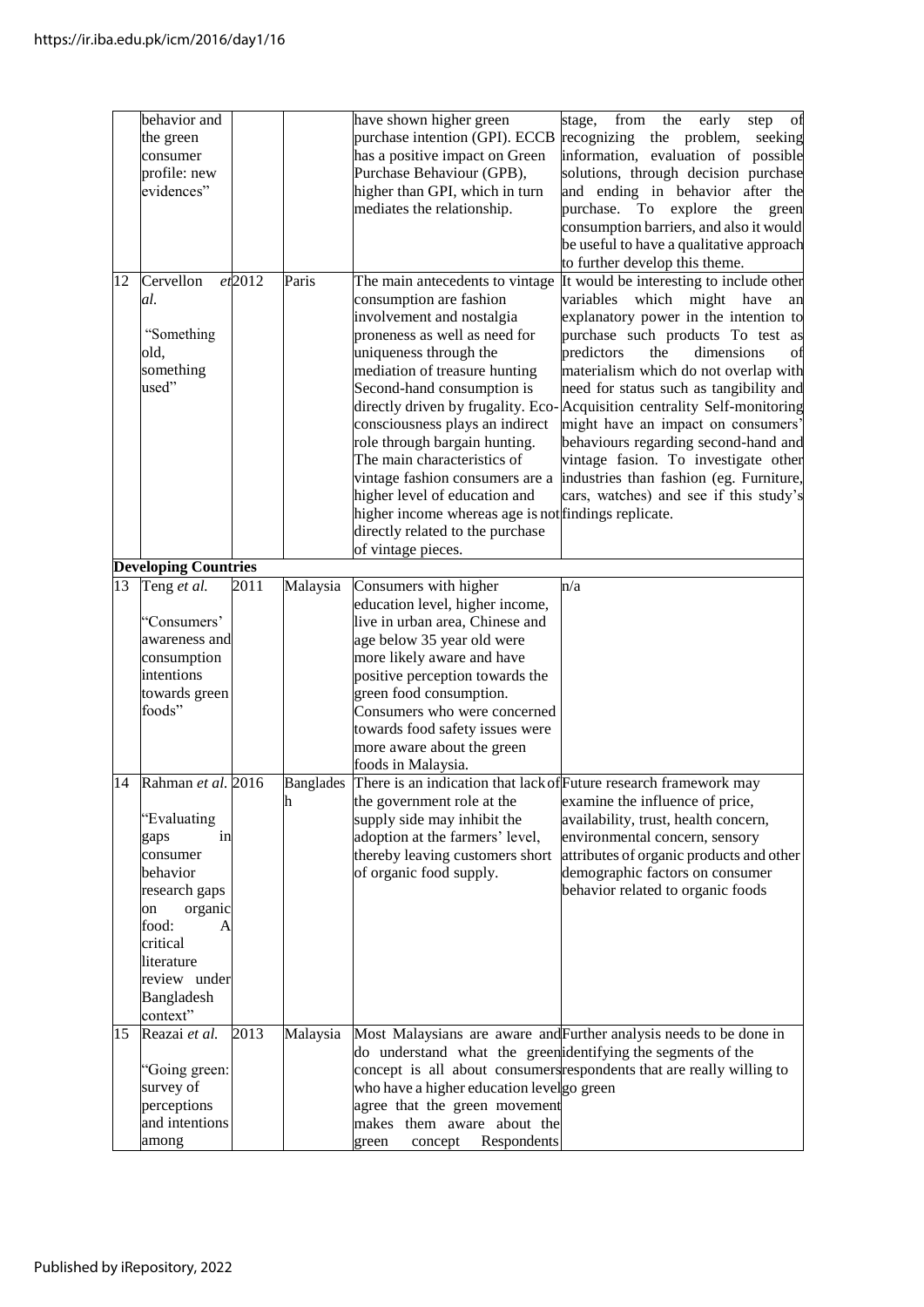|    | behavior and                |           |          | have shown higher green                                                     | from<br>the<br>early<br>stage,<br>step<br>$_{\rm _{ot}}$                 |
|----|-----------------------------|-----------|----------|-----------------------------------------------------------------------------|--------------------------------------------------------------------------|
|    | the green                   |           |          | purchase intention (GPI). ECCB                                              | recognizing the problem,<br>seeking                                      |
|    |                             |           |          |                                                                             |                                                                          |
|    | consumer                    |           |          | has a positive impact on Green                                              | information, evaluation of possible                                      |
|    | profile: new                |           |          | Purchase Behaviour (GPB),                                                   | solutions, through decision purchase                                     |
|    | evidences"                  |           |          | higher than GPI, which in turn                                              | and ending in behavior after the                                         |
|    |                             |           |          | mediates the relationship.                                                  | purchase. To explore the<br>green                                        |
|    |                             |           |          |                                                                             |                                                                          |
|    |                             |           |          |                                                                             | consumption barriers, and also it would                                  |
|    |                             |           |          |                                                                             | be useful to have a qualitative approach                                 |
|    |                             |           |          |                                                                             | to further develop this theme.                                           |
| 12 | Cervellon                   | $et$ 2012 | Paris    | The main antecedents to vintage                                             | It would be interesting to include other                                 |
|    | al.                         |           |          | consumption are fashion                                                     | variables which might have                                               |
|    |                             |           |          |                                                                             | an                                                                       |
|    |                             |           |          | involvement and nostalgia                                                   | explanatory power in the intention to                                    |
|    | "Something                  |           |          | proneness as well as need for                                               | purchase such products To test as                                        |
|    | old,                        |           |          | uniqueness through the                                                      | predictors<br>the<br>dimensions<br>Οİ                                    |
|    | something                   |           |          | mediation of treasure hunting                                               | materialism which do not overlap with                                    |
|    | used"                       |           |          | Second-hand consumption is                                                  | need for status such as tangibility and                                  |
|    |                             |           |          |                                                                             |                                                                          |
|    |                             |           |          |                                                                             | directly driven by frugality. Eco-Acquisition centrality Self-monitoring |
|    |                             |           |          | consciousness plays an indirect                                             | might have an impact on consumers'                                       |
|    |                             |           |          | role through bargain hunting.                                               | behaviours regarding second-hand and                                     |
|    |                             |           |          | The main characteristics of                                                 | vintage fasion. To investigate other                                     |
|    |                             |           |          |                                                                             |                                                                          |
|    |                             |           |          | vintage fashion consumers are a                                             | industries than fashion (eg. Furniture,                                  |
|    |                             |           |          | higher level of education and                                               | cars, watches) and see if this study's                                   |
|    |                             |           |          | higher income whereas age is not findings replicate.                        |                                                                          |
|    |                             |           |          | directly related to the purchase                                            |                                                                          |
|    |                             |           |          | of vintage pieces.                                                          |                                                                          |
|    |                             |           |          |                                                                             |                                                                          |
|    | <b>Developing Countries</b> |           |          |                                                                             |                                                                          |
| 13 | Teng et al.                 | 2011      | Malaysia | Consumers with higher                                                       | n/a                                                                      |
|    |                             |           |          | education level, higher income,                                             |                                                                          |
|    | "Consumers"                 |           |          | live in urban area, Chinese and                                             |                                                                          |
|    |                             |           |          |                                                                             |                                                                          |
|    | awareness and               |           |          | age below 35 year old were                                                  |                                                                          |
|    | consumption                 |           |          | more likely aware and have                                                  |                                                                          |
|    | intentions                  |           |          | positive perception towards the                                             |                                                                          |
|    | towards green               |           |          | green food consumption.                                                     |                                                                          |
|    | foods"                      |           |          | Consumers who were concerned                                                |                                                                          |
|    |                             |           |          |                                                                             |                                                                          |
|    |                             |           |          | towards food safety issues were                                             |                                                                          |
|    |                             |           |          | more aware about the green                                                  |                                                                          |
|    |                             |           |          | foods in Malaysia.                                                          |                                                                          |
| 14 | Rahman et al. 2016          |           |          | Banglades There is an indication that lack of Future research framework may |                                                                          |
|    |                             |           |          |                                                                             |                                                                          |
|    |                             |           | n        | the government role at the                                                  | examine the influence of price,                                          |
|    | 'Evaluating                 |           |          | supply side may inhibit the                                                 | availability, trust, health concern,                                     |
|    | in<br>gaps                  |           |          | adoption at the farmers' level,                                             | environmental concern, sensory                                           |
|    | consumer                    |           |          | thereby leaving customers short                                             | attributes of organic products and other                                 |
|    | behavior                    |           |          | of organic food supply.                                                     | demographic factors on consumer                                          |
|    |                             |           |          |                                                                             |                                                                          |
|    | research gaps               |           |          |                                                                             | behavior related to organic foods                                        |
|    | organic<br>on               |           |          |                                                                             |                                                                          |
|    | food:<br>A                  |           |          |                                                                             |                                                                          |
|    | critical                    |           |          |                                                                             |                                                                          |
|    | literature                  |           |          |                                                                             |                                                                          |
|    |                             |           |          |                                                                             |                                                                          |
|    | review under                |           |          |                                                                             |                                                                          |
|    | Bangladesh                  |           |          |                                                                             |                                                                          |
|    | context"                    |           |          |                                                                             |                                                                          |
| 15 | Reazai et al.               | 2013      | Malaysia |                                                                             | Most Malaysians are aware and Further analysis needs to be done in       |
|    |                             |           |          |                                                                             |                                                                          |
|    |                             |           |          | do understand what the green identifying the segments of the                |                                                                          |
|    | "Going green:               |           |          |                                                                             | concept is all about consumers respondents that are really willing to    |
|    | survey of                   |           |          | who have a higher education levelgo green                                   |                                                                          |
|    | perceptions                 |           |          | agree that the green movement                                               |                                                                          |
|    | and intentions              |           |          |                                                                             |                                                                          |
|    |                             |           |          | makes them aware about the                                                  |                                                                          |
|    | among                       |           |          | Respondents<br>green<br>concept                                             |                                                                          |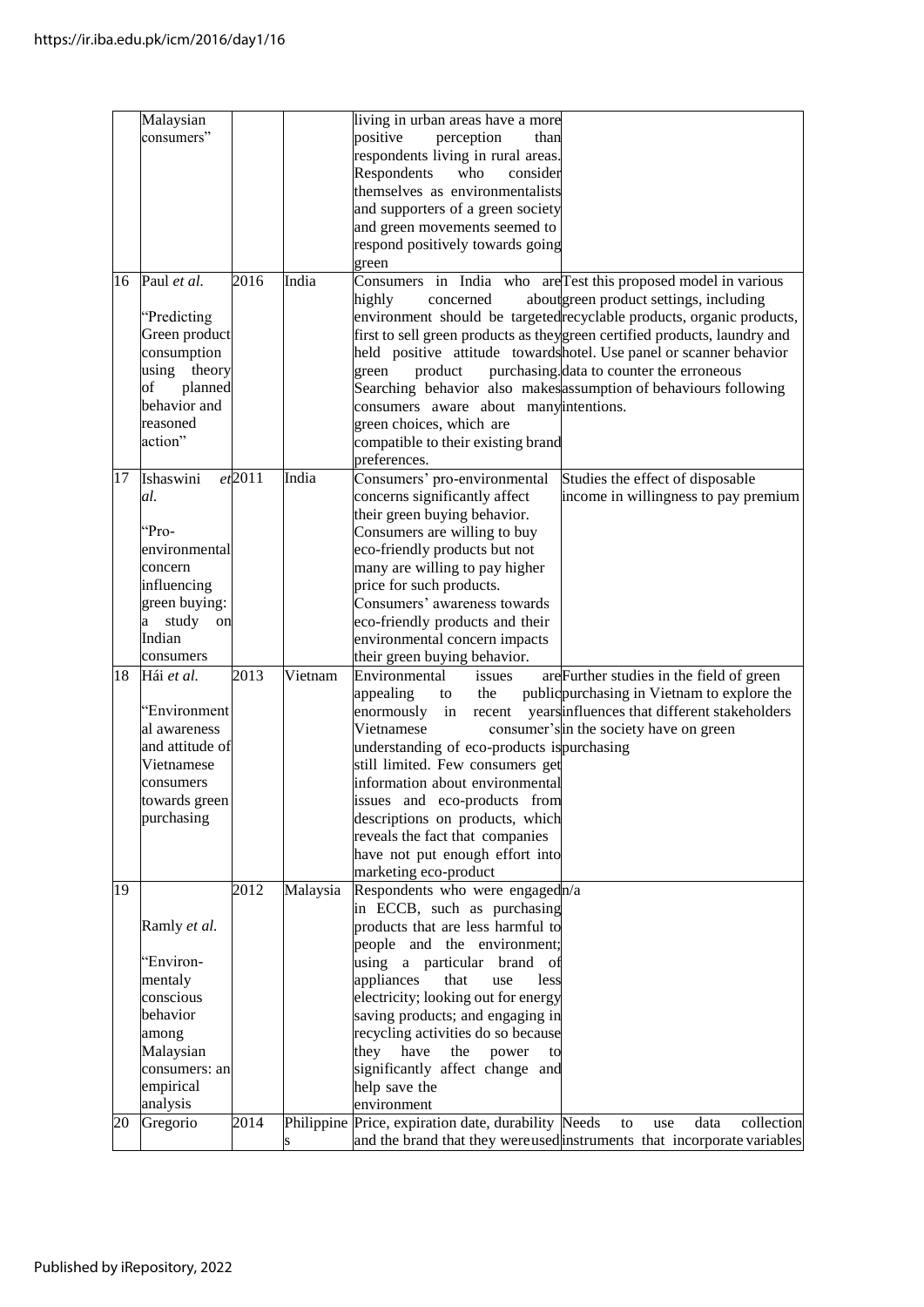|    | Malaysian       |        |          | living in urban areas have a more                                                      |
|----|-----------------|--------|----------|----------------------------------------------------------------------------------------|
|    | consumers"      |        |          | positive<br>perception<br>than                                                         |
|    |                 |        |          | respondents living in rural areas.                                                     |
|    |                 |        |          | Respondents<br>who<br>consider                                                         |
|    |                 |        |          | themselves as environmentalists                                                        |
|    |                 |        |          |                                                                                        |
|    |                 |        |          | and supporters of a green society                                                      |
|    |                 |        |          | and green movements seemed to                                                          |
|    |                 |        |          | respond positively towards going                                                       |
|    |                 |        |          | green                                                                                  |
| 16 | Paul et al.     | 2016   | India    | Consumers in India who are Test this proposed model in various                         |
|    |                 |        |          | aboutgreen product settings, including<br>highly<br>concerned                          |
|    | "Predicting     |        |          | environment should be targetedrecyclable products, organic products,                   |
|    | Green product   |        |          | first to sell green products as theygreen certified products, laundry and              |
|    | consumption     |        |          | held positive attitude towardshotel. Use panel or scanner behavior                     |
|    |                 |        |          |                                                                                        |
|    | using theory    |        |          | purchasing data to counter the erroneous<br>green<br>product                           |
|    | planned<br>of   |        |          | Searching behavior also makes assumption of behaviours following                       |
|    | behavior and    |        |          | consumers aware about manyintentions.                                                  |
|    | reasoned        |        |          | green choices, which are                                                               |
|    | action"         |        |          | compatible to their existing brand                                                     |
|    |                 |        |          | preferences.                                                                           |
| 17 | Ishaswini       | et2011 | India    | Consumers' pro-environmental<br>Studies the effect of disposable                       |
|    | al.             |        |          | concerns significantly affect<br>income in willingness to pay premium                  |
|    |                 |        |          | their green buying behavior.                                                           |
|    |                 |        |          |                                                                                        |
|    | "Pro-           |        |          | Consumers are willing to buy                                                           |
|    | environmental   |        |          | eco-friendly products but not                                                          |
|    | concern         |        |          | many are willing to pay higher                                                         |
|    | influencing     |        |          | price for such products.                                                               |
|    | green buying:   |        |          | Consumers' awareness towards                                                           |
|    | a study<br>on   |        |          | eco-friendly products and their                                                        |
|    | Indian          |        |          | environmental concern impacts                                                          |
|    | consumers       |        |          | their green buying behavior.                                                           |
| 18 | Hái et al.      | 2013   | Vietnam  | Environmental                                                                          |
|    |                 |        |          | issues<br>are Further studies in the field of green                                    |
|    |                 |        |          | appealing<br>public purchasing in Vietnam to explore the<br>the<br>to                  |
|    | 'Environment    |        |          | enormously<br>years influences that different stakeholders<br>in recent                |
|    | al awareness    |        |          | consumer's in the society have on green<br>Vietnamese                                  |
|    | and attitude of |        |          | understanding of eco-products is purchasing                                            |
|    | Vietnamese      |        |          | still limited. Few consumers get                                                       |
|    | consumers       |        |          | information about environmental                                                        |
|    | towards green   |        |          | issues and eco-products from                                                           |
|    | purchasing      |        |          |                                                                                        |
|    |                 |        |          | descriptions on products, which                                                        |
|    |                 |        |          | reveals the fact that companies                                                        |
|    |                 |        |          | have not put enough effort into                                                        |
|    |                 |        |          | marketing eco-product                                                                  |
| 19 |                 | 2012   | Malaysia | Respondents who were engagedn/a                                                        |
|    |                 |        |          | in ECCB, such as purchasing                                                            |
|    | Ramly et al.    |        |          | products that are less harmful to                                                      |
|    |                 |        |          | people and the environment;                                                            |
|    | 'Environ-       |        |          | using a particular<br>brand<br>οt                                                      |
|    |                 |        |          |                                                                                        |
|    | mentaly         |        |          | appliances<br>that<br>use<br>less                                                      |
|    | conscious       |        |          | electricity; looking out for energy                                                    |
|    | behavior        |        |          | saving products; and engaging in                                                       |
|    | among           |        |          | recycling activities do so because                                                     |
|    | Malaysian       |        |          | they have<br>the<br>power<br>to                                                        |
|    | consumers: an   |        |          | significantly affect change and                                                        |
|    | empirical       |        |          | help save the                                                                          |
|    | analysis        |        |          | environment                                                                            |
| 20 | Gregorio        | 2014   |          | Philippine Price, expiration date, durability Needs<br>collection<br>data<br>to<br>use |
|    |                 |        |          |                                                                                        |
|    |                 |        |          | and the brand that they were used instruments that incorporate variables               |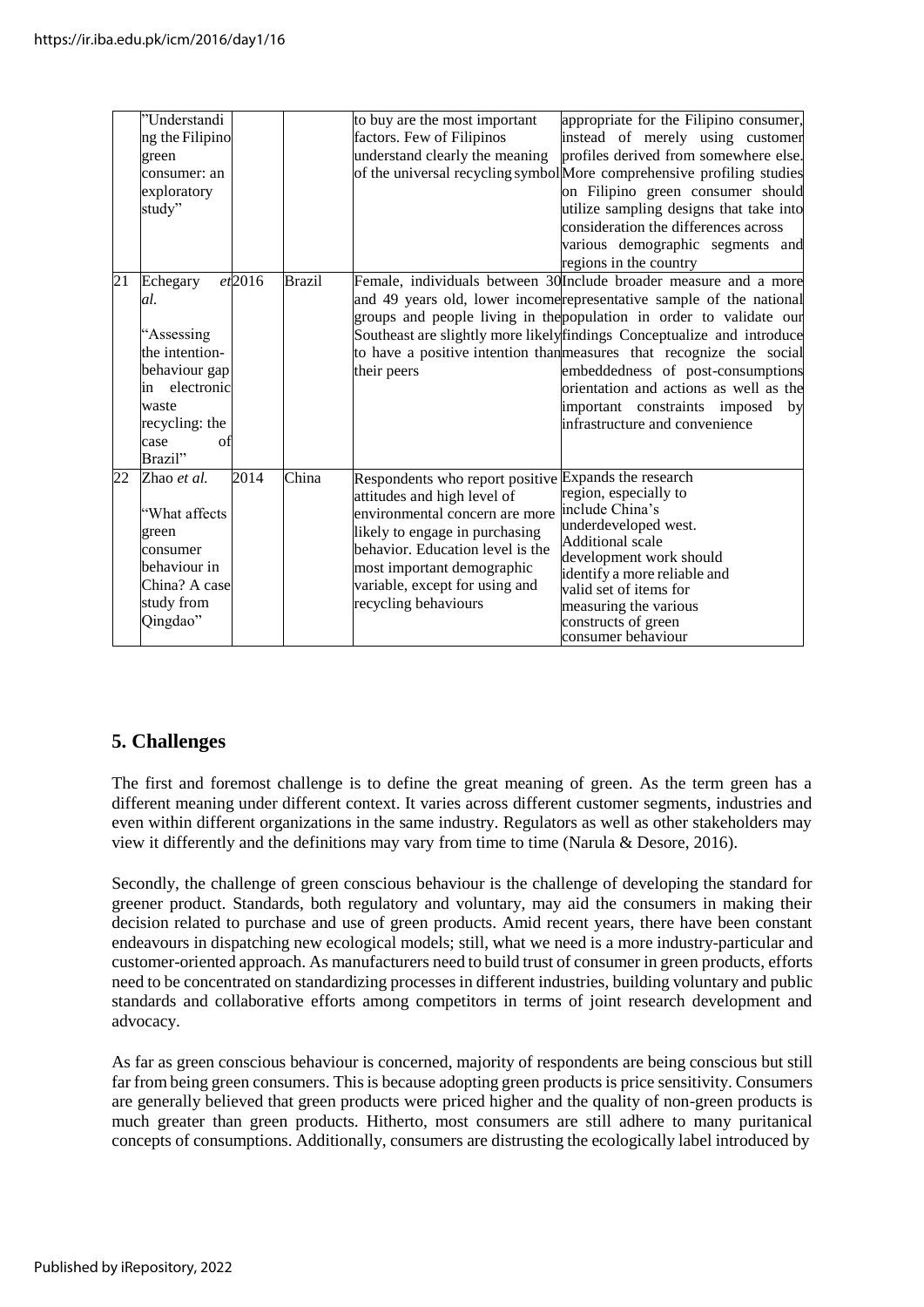|    | "Understandi<br>ng the Filipino<br>green<br>consumer: an<br>exploratory<br>study"                                                               |               | to buy are the most important<br>factors. Few of Filipinos<br>understand clearly the meaning                                                                                                                                                                                        | appropriate for the Filipino consumer,<br>instead of merely using customer<br>profiles derived from somewhere else.<br>of the universal recycling symbol More comprehensive profiling studies<br>on Filipino green consumer should<br>utilize sampling designs that take into<br>consideration the differences across<br>various demographic segments and<br>regions in the country                                                                                                                                         |
|----|-------------------------------------------------------------------------------------------------------------------------------------------------|---------------|-------------------------------------------------------------------------------------------------------------------------------------------------------------------------------------------------------------------------------------------------------------------------------------|-----------------------------------------------------------------------------------------------------------------------------------------------------------------------------------------------------------------------------------------------------------------------------------------------------------------------------------------------------------------------------------------------------------------------------------------------------------------------------------------------------------------------------|
| 21 | et2016<br>Echegary<br>al.<br>"Assessing<br>the intention-<br>behaviour gap<br>in electronic<br>waste<br>recycling: the<br>case<br>ΩŤ<br>Brazil" | <b>Brazil</b> | their peers                                                                                                                                                                                                                                                                         | Female, individuals between 30 Include broader measure and a more<br>and 49 years old, lower income representative sample of the national<br>groups and people living in the population in order to validate our<br>Southeast are slightly more likely findings Conceptualize and introduce<br>to have a positive intention than measures that recognize the social<br>embeddedness of post-consumptions<br>orientation and actions as well as the<br>important constraints imposed<br>by<br>infrastructure and convenience |
| 22 | 2014<br>Zhao et al.<br>"What affects<br>green<br>consumer<br>behaviour in<br>China? A case<br>study from<br>Qingdao"                            | China         | Respondents who report positive Expands the research<br>attitudes and high level of<br>environmental concern are more<br>likely to engage in purchasing<br>behavior. Education level is the<br>most important demographic<br>variable, except for using and<br>recycling behaviours | region, especially to<br>include China's<br>underdeveloped west.<br><b>Additional</b> scale<br>development work should<br>identify a more reliable and<br>valid set of items for<br>measuring the various<br>constructs of green<br>consumer behaviour                                                                                                                                                                                                                                                                      |

#### **5. Challenges**

The first and foremost challenge is to define the great meaning of green. As the term green has a different meaning under different context. It varies across different customer segments, industries and even within different organizations in the same industry. Regulators as well as other stakeholders may view it differently and the definitions may vary from time to time (Narula & Desore, 2016).

Secondly, the challenge of green conscious behaviour is the challenge of developing the standard for greener product. Standards, both regulatory and voluntary, may aid the consumers in making their decision related to purchase and use of green products. Amid recent years, there have been constant endeavours in dispatching new ecological models; still, what we need is a more industry-particular and customer-oriented approach. As manufacturers need to build trust of consumer in green products, efforts need to be concentrated on standardizing processes in different industries, building voluntary and public standards and collaborative efforts among competitors in terms of joint research development and advocacy.

As far as green conscious behaviour is concerned, majority of respondents are being conscious but still far from being green consumers. This is because adopting green products is price sensitivity. Consumers are generally believed that green products were priced higher and the quality of non-green products is much greater than green products. Hitherto, most consumers are still adhere to many puritanical concepts of consumptions. Additionally, consumers are distrusting the ecologically label introduced by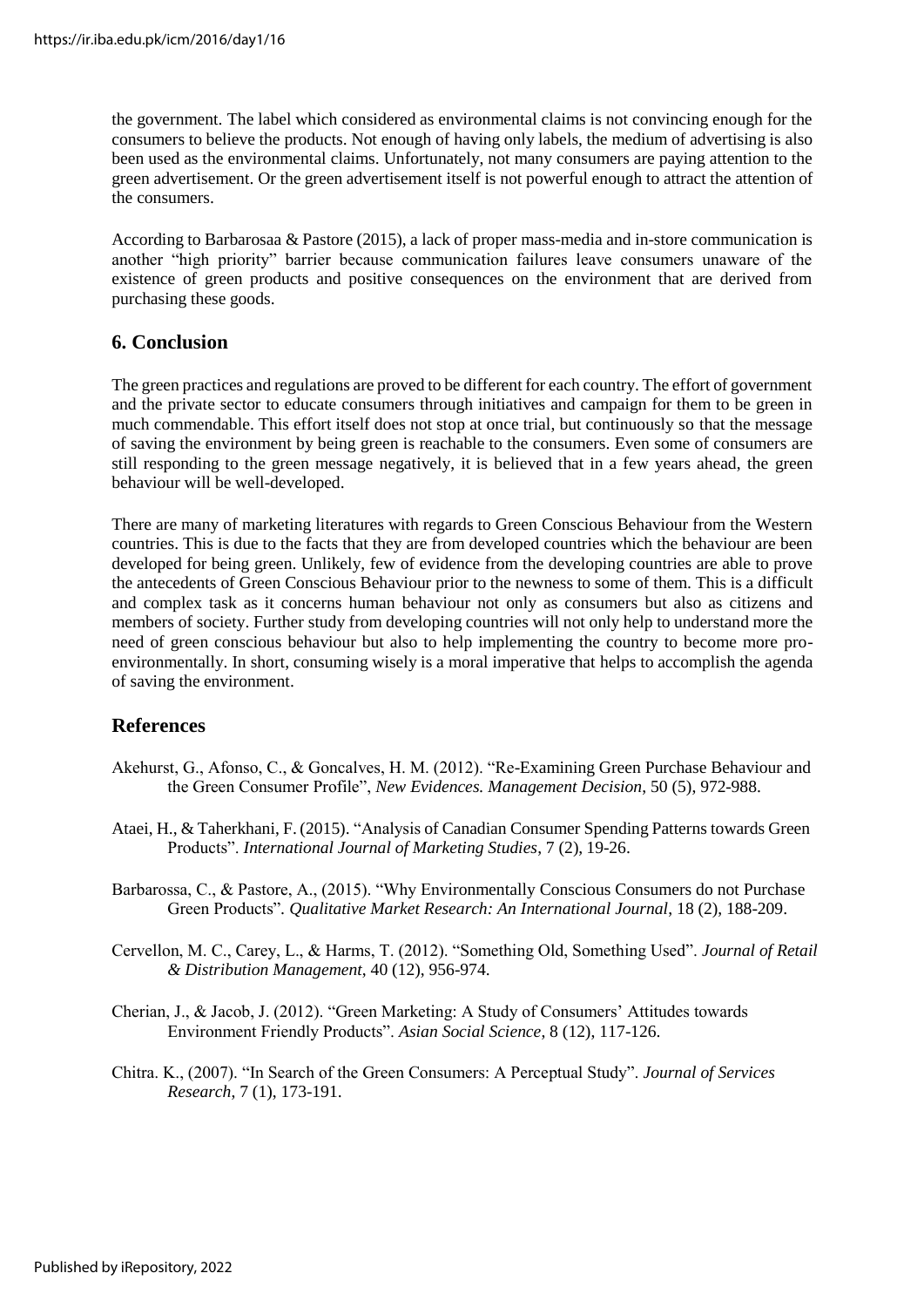the government. The label which considered as environmental claims is not convincing enough for the consumers to believe the products. Not enough of having only labels, the medium of advertising is also been used as the environmental claims. Unfortunately, not many consumers are paying attention to the green advertisement. Or the green advertisement itself is not powerful enough to attract the attention of the consumers.

According to Barbarosaa & Pastore (2015), a lack of proper mass-media and in-store communication is another "high priority" barrier because communication failures leave consumers unaware of the existence of green products and positive consequences on the environment that are derived from purchasing these goods.

#### **6. Conclusion**

The green practices and regulations are proved to be different for each country. The effort of government and the private sector to educate consumers through initiatives and campaign for them to be green in much commendable. This effort itself does not stop at once trial, but continuously so that the message of saving the environment by being green is reachable to the consumers. Even some of consumers are still responding to the green message negatively, it is believed that in a few years ahead, the green behaviour will be well-developed.

There are many of marketing literatures with regards to Green Conscious Behaviour from the Western countries. This is due to the facts that they are from developed countries which the behaviour are been developed for being green. Unlikely, few of evidence from the developing countries are able to prove the antecedents of Green Conscious Behaviour prior to the newness to some of them. This is a difficult and complex task as it concerns human behaviour not only as consumers but also as citizens and members of society. Further study from developing countries will not only help to understand more the need of green conscious behaviour but also to help implementing the country to become more proenvironmentally. In short, consuming wisely is a moral imperative that helps to accomplish the agenda of saving the environment.

#### **References**

- Akehurst, G., Afonso, C., & Goncalves, H. M. (2012). "Re-Examining Green Purchase Behaviour and the Green Consumer Profile", *New Evidences. Management Decision*, 50 (5), 972-988.
- Ataei, H., & Taherkhani, F. (2015). "Analysis of Canadian Consumer Spending Patterns towards Green Products". *International Journal of Marketing Studies*, 7 (2), 19-26.
- Barbarossa, C., & Pastore, A., (2015). "Why Environmentally Conscious Consumers do not Purchase Green Products"*. Qualitative Market Research: An International Journal*, 18 (2), 188-209.
- Cervellon, M. C., Carey, L., & Harms, T. (2012). "Something Old, Something Used". *Journal of Retail & Distribution Management*, 40 (12), 956-974.
- Cherian, J., & Jacob, J. (2012). "Green Marketing: A Study of Consumers' Attitudes towards Environment Friendly Products". *Asian Social Science*, 8 (12), 117-126.
- Chitra. K., (2007). "In Search of the Green Consumers: A Perceptual Study". *Journal of Services Research*, 7 (1), 173-191.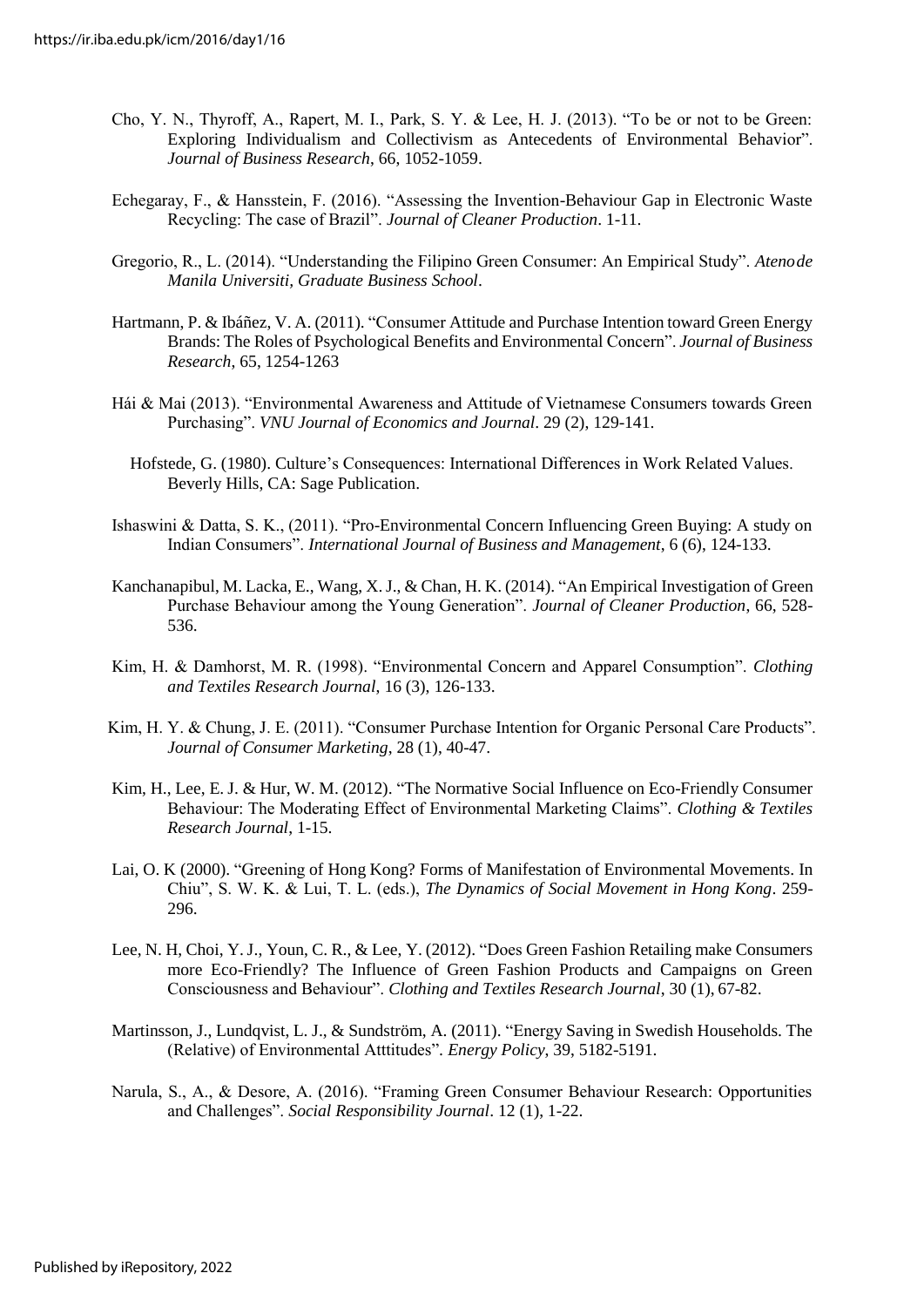- Cho, Y. N., Thyroff, A., Rapert, M. I., Park, S. Y. & Lee, H. J. (2013). "To be or not to be Green: Exploring Individualism and Collectivism as Antecedents of Environmental Behavior". *Journal of Business Research*, 66, 1052-1059.
- Echegaray, F., & Hansstein, F. (2016). "Assessing the Invention-Behaviour Gap in Electronic Waste Recycling: The case of Brazil". *Journal of Cleaner Production*. 1-11.
- Gregorio, R., L. (2014). "Understanding the Filipino Green Consumer: An Empirical Study". *Atenode Manila Universiti, Graduate Business School*.
- Hartmann, P. & Ibáñez, V. A. (2011). "Consumer Attitude and Purchase Intention toward Green Energy Brands: The Roles of Psychological Benefits and Environmental Concern". *Journal of Business Research*, 65, 1254-1263
- Hái & Mai (2013). "Environmental Awareness and Attitude of Vietnamese Consumers towards Green Purchasing". *VNU Journal of Economics and Journal*. 29 (2), 129-141.
	- Hofstede, G. (1980). Culture's Consequences: International Differences in Work Related Values. Beverly Hills, CA: Sage Publication.
- Ishaswini & Datta, S. K., (2011). "Pro-Environmental Concern Influencing Green Buying: A study on Indian Consumers". *International Journal of Business and Management*, 6 (6), 124-133.
- Kanchanapibul, M. Lacka, E., Wang, X.J., & Chan, H. K. (2014). "An Empirical Investigation of Green Purchase Behaviour among the Young Generation". *Journal of Cleaner Production*, 66, 528- 536.
- Kim, H. & Damhorst, M. R. (1998). "Environmental Concern and Apparel Consumption". *Clothing and Textiles Research Journal*, 16 (3), 126-133.
- Kim, H. Y. & Chung, J. E. (2011). "Consumer Purchase Intention for Organic Personal Care Products". *Journal of Consumer Marketing*, 28 (1), 40-47.
- Kim, H., Lee, E. J. & Hur, W. M. (2012). "The Normative Social Influence on Eco-Friendly Consumer Behaviour: The Moderating Effect of Environmental Marketing Claims". *Clothing & Textiles Research Journal*, 1-15.
- Lai, O. K (2000). "Greening of Hong Kong? Forms of Manifestation of Environmental Movements. In Chiu", S. W. K. & Lui, T. L. (eds.), *The Dynamics of Social Movement in Hong Kong*. 259- 296.
- Lee, N. H, Choi, Y.J., Youn, C. R., & Lee, Y. (2012). "Does Green Fashion Retailing make Consumers more Eco-Friendly? The Influence of Green Fashion Products and Campaigns on Green Consciousness and Behaviour". *Clothing and Textiles Research Journal*, 30 (1), 67-82.
- Martinsson, J., Lundqvist, L. J., & Sundström, A. (2011). "Energy Saving in Swedish Households. The (Relative) of Environmental Atttitudes"*. Energy Policy*, 39, 5182-5191.
- Narula, S., A., & Desore, A. (2016). "Framing Green Consumer Behaviour Research: Opportunities and Challenges". *Social Responsibility Journal*. 12 (1), 1-22.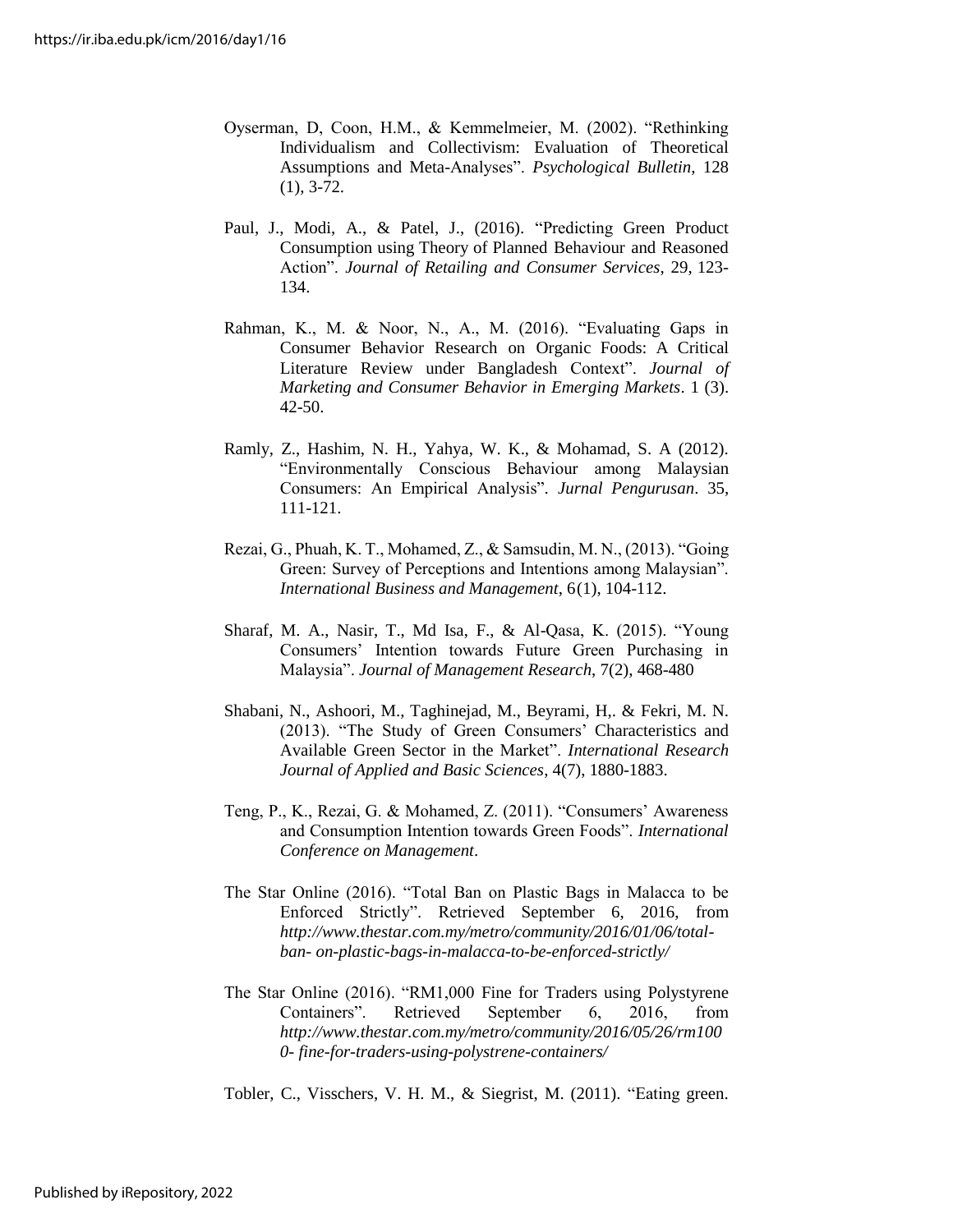- Oyserman, D, Coon, H.M., & Kemmelmeier, M. (2002). "Rethinking Individualism and Collectivism: Evaluation of Theoretical Assumptions and Meta-Analyses". *Psychological Bulletin*, 128 (1), 3-72.
- Paul, J., Modi, A., & Patel, J., (2016). "Predicting Green Product Consumption using Theory of Planned Behaviour and Reasoned Action". *Journal of Retailing and Consumer Services*, 29, 123- 134.
- Rahman, K., M. & Noor, N., A., M. (2016). "Evaluating Gaps in Consumer Behavior Research on Organic Foods: A Critical Literature Review under Bangladesh Context". *Journal of Marketing and Consumer Behavior in Emerging Markets*. 1 (3). 42-50.
- Ramly, Z., Hashim, N. H., Yahya, W. K., & Mohamad, S. A (2012). "Environmentally Conscious Behaviour among Malaysian Consumers: An Empirical Analysis"*. Jurnal Pengurusan*. 35, 111-121.
- Rezai, G., Phuah, K. T., Mohamed, Z., & Samsudin, M. N., (2013). "Going Green: Survey of Perceptions and Intentions among Malaysian". *International Business and Management*, 6(1), 104-112.
- Sharaf, M. A., Nasir, T., Md Isa, F., & Al-Qasa, K. (2015). "Young Consumers' Intention towards Future Green Purchasing in Malaysia". *Journal of Management Research*, 7(2), 468-480
- Shabani, N., Ashoori, M., Taghinejad, M., Beyrami, H,. & Fekri, M. N. (2013). "The Study of Green Consumers' Characteristics and Available Green Sector in the Market". *International Research Journal of Applied and Basic Sciences*, 4(7), 1880-1883.
- Teng, P., K., Rezai, G. & Mohamed, Z. (2011). "Consumers' Awareness and Consumption Intention towards Green Foods". *International Conference on Management*.
- The Star Online (2016). "Total Ban on Plastic Bags in Malacca to be Enforced Strictly". Retrieved September 6, 2016, from *[http://www.thestar.com.my/metro/community/2016/01/06/total](http://www.thestar.com.my/metro/community/2016/01/06/total-ban-)[ban-](http://www.thestar.com.my/metro/community/2016/01/06/total-ban-) on-plastic-bags-in-malacca-to-be-enforced-strictly/*
- The Star Online (2016). "RM1,000 Fine for Traders using Polystyrene Containers". Retrieved September 6, 2016, from *[http://www.thestar.com.my/metro/community/2016/05/26/rm100](http://www.thestar.com.my/metro/community/2016/05/26/rm1000-) [0-](http://www.thestar.com.my/metro/community/2016/05/26/rm1000-) fine-for-traders-using-polystrene-containers/*
- Tobler, C., Visschers, V. H. M., & Siegrist, M. (2011). "Eating green.